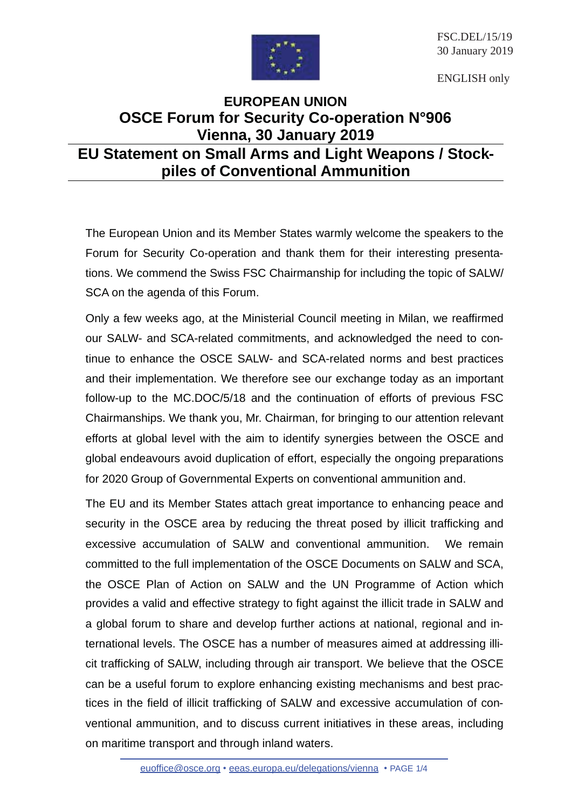

FSC.DEL/15/19 30 January 2019

ENGLISH only

## **EUROPEAN UNION OSCE Forum for Security Co-operation N°906 Vienna, 30 January 2019**

## **EU Statement on Small Arms and Light Weapons / Stockpiles of Conventional Ammunition**

The European Union and its Member States warmly welcome the speakers to the Forum for Security Co-operation and thank them for their interesting presentations. We commend the Swiss FSC Chairmanship for including the topic of SALW/ SCA on the agenda of this Forum.

Only a few weeks ago, at the Ministerial Council meeting in Milan, we reaffirmed our SALW- and SCA-related commitments, and acknowledged the need to continue to enhance the OSCE SALW- and SCA-related norms and best practices and their implementation. We therefore see our exchange today as an important follow-up to the MC.DOC/5/18 and the continuation of efforts of previous FSC Chairmanships. We thank you, Mr. Chairman, for bringing to our attention relevant efforts at global level with the aim to identify synergies between the OSCE and global endeavours avoid duplication of effort, especially the ongoing preparations for 2020 Group of Governmental Experts on conventional ammunition and.

The EU and its Member States attach great importance to enhancing peace and security in the OSCE area by reducing the threat posed by illicit trafficking and excessive accumulation of SALW and conventional ammunition. We remain committed to the full implementation of the OSCE Documents on SALW and SCA, the OSCE Plan of Action on SALW and the UN Programme of Action which provides a valid and effective strategy to fight against the illicit trade in SALW and a global forum to share and develop further actions at national, regional and international levels. The OSCE has a number of measures aimed at addressing illicit trafficking of SALW, including through air transport. We believe that the OSCE can be a useful forum to explore enhancing existing mechanisms and best practices in the field of illicit trafficking of SALW and excessive accumulation of conventional ammunition, and to discuss current initiatives in these areas, including on maritime transport and through inland waters.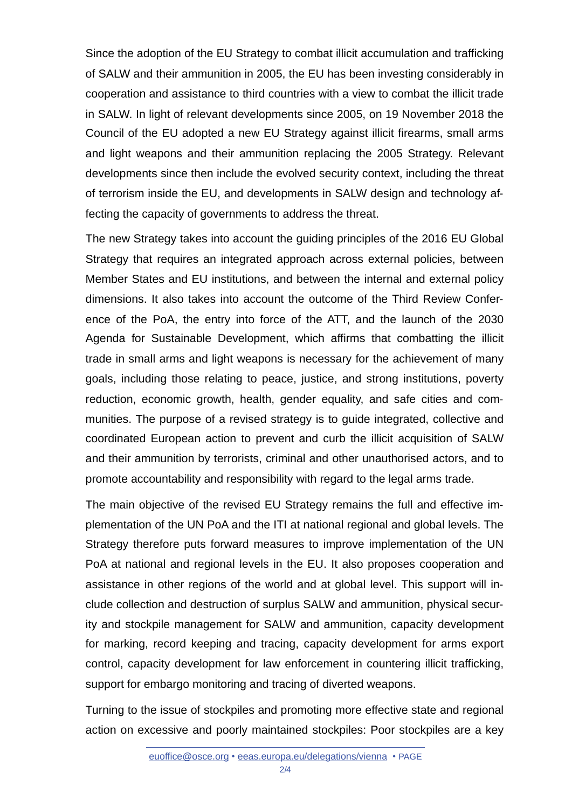Since the adoption of the EU Strategy to combat illicit accumulation and trafficking of SALW and their ammunition in 2005, the EU has been investing considerably in cooperation and assistance to third countries with a view to combat the illicit trade in SALW. In light of relevant developments since 2005, on 19 November 2018 the Council of the EU adopted a new EU Strategy against illicit firearms, small arms and light weapons and their ammunition replacing the 2005 Strategy. Relevant developments since then include the evolved security context, including the threat of terrorism inside the EU, and developments in SALW design and technology affecting the capacity of governments to address the threat.

The new Strategy takes into account the guiding principles of the 2016 EU Global Strategy that requires an integrated approach across external policies, between Member States and EU institutions, and between the internal and external policy dimensions. It also takes into account the outcome of the Third Review Conference of the PoA, the entry into force of the ATT, and the launch of the 2030 Agenda for Sustainable Development, which affirms that combatting the illicit trade in small arms and light weapons is necessary for the achievement of many goals, including those relating to peace, justice, and strong institutions, poverty reduction, economic growth, health, gender equality, and safe cities and communities. The purpose of a revised strategy is to guide integrated, collective and coordinated European action to prevent and curb the illicit acquisition of SALW and their ammunition by terrorists, criminal and other unauthorised actors, and to promote accountability and responsibility with regard to the legal arms trade.

The main objective of the revised EU Strategy remains the full and effective implementation of the UN PoA and the ITI at national regional and global levels. The Strategy therefore puts forward measures to improve implementation of the UN PoA at national and regional levels in the EU. It also proposes cooperation and assistance in other regions of the world and at global level. This support will include collection and destruction of surplus SALW and ammunition, physical security and stockpile management for SALW and ammunition, capacity development for marking, record keeping and tracing, capacity development for arms export control, capacity development for law enforcement in countering illicit trafficking, support for embargo monitoring and tracing of diverted weapons.

Turning to the issue of stockpiles and promoting more effective state and regional action on excessive and poorly maintained stockpiles: Poor stockpiles are a key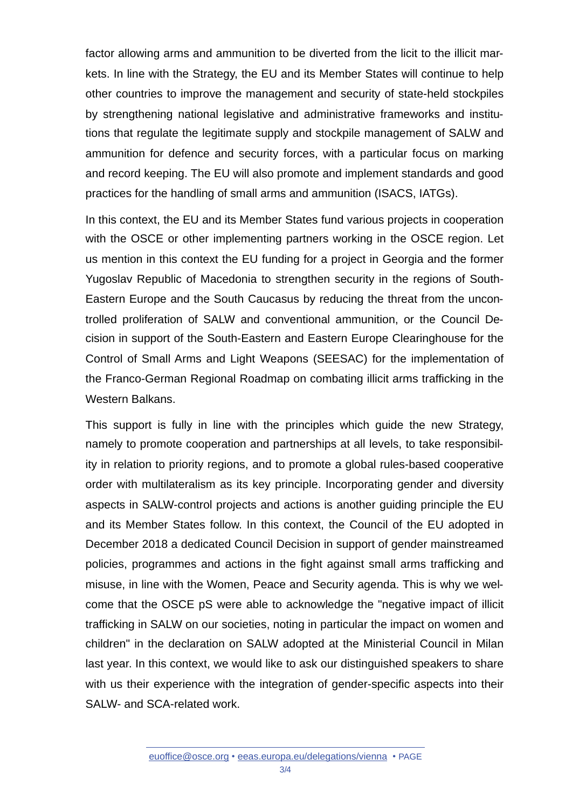factor allowing arms and ammunition to be diverted from the licit to the illicit markets. In line with the Strategy, the EU and its Member States will continue to help other countries to improve the management and security of state-held stockpiles by strengthening national legislative and administrative frameworks and institutions that regulate the legitimate supply and stockpile management of SALW and ammunition for defence and security forces, with a particular focus on marking and record keeping. The EU will also promote and implement standards and good practices for the handling of small arms and ammunition (ISACS, IATGs).

In this context, the EU and its Member States fund various projects in cooperation with the OSCE or other implementing partners working in the OSCE region. Let us mention in this context the EU funding for a project in Georgia and the former Yugoslav Republic of Macedonia to strengthen security in the regions of South-Eastern Europe and the South Caucasus by reducing the threat from the uncontrolled proliferation of SALW and conventional ammunition, or the Council Decision in support of the South-Eastern and Eastern Europe Clearinghouse for the Control of Small Arms and Light Weapons (SEESAC) for the implementation of the Franco-German Regional Roadmap on combating illicit arms trafficking in the Western Balkans.

This support is fully in line with the principles which guide the new Strategy, namely to promote cooperation and partnerships at all levels, to take responsibility in relation to priority regions, and to promote a global rules-based cooperative order with multilateralism as its key principle. Incorporating gender and diversity aspects in SALW-control projects and actions is another guiding principle the EU and its Member States follow. In this context, the Council of the EU adopted in December 2018 a dedicated Council Decision in support of gender mainstreamed policies, programmes and actions in the fight against small arms trafficking and misuse, in line with the Women, Peace and Security agenda. This is why we welcome that the OSCE pS were able to acknowledge the "negative impact of illicit trafficking in SALW on our societies, noting in particular the impact on women and children" in the declaration on SALW adopted at the Ministerial Council in Milan last year. In this context, we would like to ask our distinguished speakers to share with us their experience with the integration of gender-specific aspects into their SALW- and SCA-related work.